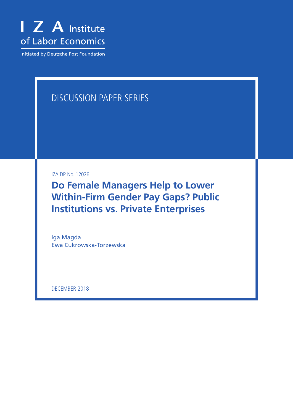

Initiated by Deutsche Post Foundation

# DISCUSSION PAPER SERIES

IZA DP No. 12026

**Do Female Managers Help to Lower Within-Firm Gender Pay Gaps? Public Institutions vs. Private Enterprises**

Iga Magda Ewa Cukrowska-Torzewska

DECEMBER 2018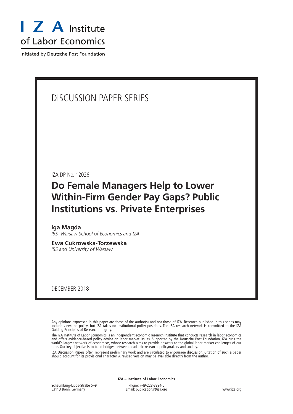

Initiated by Deutsche Post Foundation

# DISCUSSION PAPER SERIES

IZA DP No. 12026

# **Do Female Managers Help to Lower Within-Firm Gender Pay Gaps? Public Institutions vs. Private Enterprises**

**Iga Magda** *IBS, Warsaw School of Economics and IZA*

**Ewa Cukrowska-Torzewska** *IBS and University of Warsaw*

DECEMBER 2018

Any opinions expressed in this paper are those of the author(s) and not those of IZA. Research published in this series may include views on policy, but IZA takes no institutional policy positions. The IZA research network is committed to the IZA Guiding Principles of Research Integrity.

The IZA Institute of Labor Economics is an independent economic research institute that conducts research in labor economics and offers evidence-based policy advice on labor market issues. Supported by the Deutsche Post Foundation, IZA runs the world's largest network of economists, whose research aims to provide answers to the global labor market challenges of our time. Our key objective is to build bridges between academic research, policymakers and society.

IZA Discussion Papers often represent preliminary work and are circulated to encourage discussion. Citation of such a paper should account for its provisional character. A revised version may be available directly from the author.

|                                                    | IZA – Institute of Labor Economics                   |             |
|----------------------------------------------------|------------------------------------------------------|-------------|
| Schaumburg-Lippe-Straße 5–9<br>53113 Bonn, Germany | Phone: +49-228-3894-0<br>Email: publications@iza.org | www.iza.org |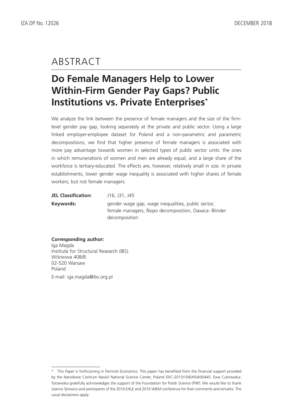# ABSTRACT

# **Do Female Managers Help to Lower Within-Firm Gender Pay Gaps? Public Institutions vs. Private Enterprises\***

We analyze the link between the presence of female managers and the size of the firmlevel gender pay gap, looking separately at the private and public sector. Using a large linked employer-employee dataset for Poland and a non-parametric and parametric decompositions, we find that higher presence of female managers is associated with more pay advantage towards women in selected types of public sector units: the ones in which remunerations of women and men are already equal, and a large share of the workforce is tertiary-educated. The effects are, however, relatively small in size. In private establishments, lower gender wage inequality is associated with higher shares of female workers, but not female managers.

| JEL Classification: | J16, J31, J45                                                                                             |
|---------------------|-----------------------------------------------------------------------------------------------------------|
| Keywords:           | gender wage gap, wage inequalities, public sector,<br>female managers, Nopo decomposition, Oaxaca-Blinder |
|                     | decomposition                                                                                             |

#### **Corresponding author:**

Iga Magda Institute for Structural Research (IBS) Wiśniowa 40B/8 02-520 Warsaw Poland E-mail: iga.magda@ibs.org.pl

<sup>\*</sup> This Paper is forthcoming in Feminist Economics. This paper has benefited from the financial support provided by the Narodowe Centrum Nauki/ National Science Center, Poland DEC-2013/10/E/HS4/00445. Ewa Cukrowska-Torzewska gratefully acknowledges the support of the Foundation for Polish Science (FNP). We would like to thank Joanna Tyrowicz and participants of the 2016 EALE and 2016 WIEM conference for their comments and remarks. The usual disclaimers apply.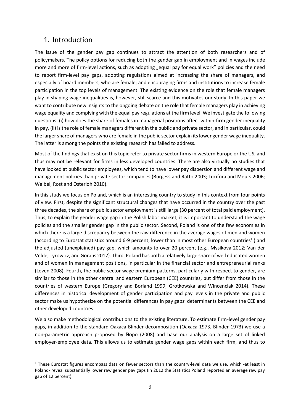### 1. Introduction

The issue of the gender pay gap continues to attract the attention of both researchers and of policymakers. The policy options for reducing both the gender gap in employment and in wages include more and more of firm-level actions, such as adopting "equal pay for equal work" policies and the need to report firm-level pay gaps, adopting regulations aimed at increasing the share of managers, and especially of board members, who are female; and encouraging firms and institutions to increase female participation in the top levels of management. The existing evidence on the role that female managers play in shaping wage inequalities is, however, still scarce and this motivates our study. In this paper we want to contribute new insights to the ongoing debate on the role that female managers play in achieving wage equality and complying with the equal pay regulations at the firm level. We investigate the following questions: (i) how does the share of females in managerial positions affect within-firm gender inequality in pay, (ii) is the role of female managers different in the public and private sector, and in particular, could the larger share of managers who are female in the public sector explain its lower gender wage inequality. The latter is among the points the existing research has failed to address.

Most of the findings that exist on this topic refer to private sector firms in western Europe or the US, and thus may not be relevant for firms in less developed countries. There are also virtually no studies that have looked at public sector employees, which tend to have lower pay dispersion and different wage and management policies than private sector companies (Burgess and Ratto 2003; Lucifora and Meurs 2006; Weibel, Rost and Osterloh 2010).

In this study we focus on Poland, which is an interesting country to study in this context from four points of view. First, despite the significant structural changes that have occurred in the country over the past three decades, the share of public sector employment is still large (30 percent of total paid employment). Thus, to explain the gender wage gap in the Polish labor market, it is important to understand the wage policies and the smaller gender gap in the public sector. Second, Poland is one of the few economies in which there is a large discrepancy between the raw difference in the average wages of men and women (according to Eurostat statistics around 6-9 percent; lower than in most other European countries<sup>1</sup>) and the adjusted (unexplained) pay gap, which amounts to over 20 percent (e.g., Mysíková 2012; Van der Velde, Tyrowicz, and Goraus 2017). Third, Poland has both a relatively large share of well educated women and of women in management positions, in particular in the financial sector and entrepreneurial ranks (Leven 2008). Fourth, the public sector wage premium patterns, particularly with respect to gender, are similar to those in the other central and eastern European (CEE) countries, but differ from those in the countries of western Europe (Gregory and Borland 1999; Grotkowska and Wincenciak 2014). These differences in historical development of gender participation and pay levels in the private and public sector make us hypothesize on the potential differences in pay gaps' determinants between the CEE and other developed countries.

We also make methodological contributions to the existing literature. To estimate firm-level gender pay gaps, in addition to the standard Oaxaca-Blinder decomposition (Oaxaca 1973, Blinder 1973) we use a non-parametric approach proposed by Ñopo (2008) and base our analysis on a large set of linked employer-employee data. This allows us to estimate gender wage gaps within each firm, and thus to

*<sup>1</sup>* These Eurostat figures encompass data on fewer sectors than the country-level data we use, which -at least in Poland- reveal substantially lower raw gender pay gaps (in 2012 the Statistics Poland reported an average raw pay gap of 12 percent).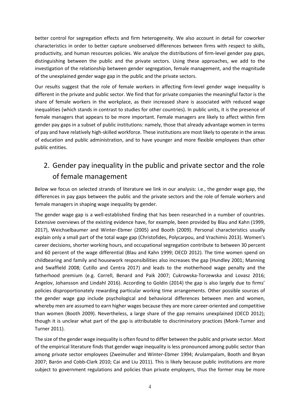better control for segregation effects and firm heterogeneity. We also account in detail for coworker characteristics in order to better capture unobserved differences between firms with respect to skills, productivity, and human resources policies. We analyze the distributions of firm-level gender pay gaps, distinguishing between the public and the private sectors. Using these approaches, we add to the investigation of the relationship between gender segregation, female management, and the magnitude of the unexplained gender wage gap in the public and the private sectors.

Our results suggest that the role of female workers in affecting firm-level gender wage inequality is different in the private and public sector. We find that for private companies the meaningful factor is the share of female workers in the workplace, as their increased share is associated with reduced wage inequalities (which stands in contrast to studies for other countries). In public units, it is the presence of female managers that appears to be more important. Female managers are likely to affect within firm gender pay gaps in a subset of public institutions: namely, those that already advantage women in terms of pay and have relatively high-skilled workforce. These institutions are most likely to operate in the areas of education and public administration, and to have younger and more flexible employees than other public entities.

# 2. Gender pay inequality in the public and private sector and the role of female management

Below we focus on selected strands of literature we link in our analysis: i.e., the gender wage gap, the differences in pay gaps between the public and the private sectors and the role of female workers and female managers in shaping wage inequality by gender.

The gender wage gap is a well-established finding that has been researched in a number of countries. Extensive overviews of the existing evidence have, for example, been provided by Blau and Kahn (1999, 2017), Weichselbaumer and Winter-Ebmer (2005) and Booth (2009). Personal characteristics usually explain only a small part of the total wage gap (Christofides, Polycarpou, and Vrachimis 2013). Women's career decisions, shorter working hours, and occupational segregation contribute to between 30 percent and 60 percent of the wage differential (Blau and Kahn 1999; OECD 2012). The time women spend on childbearing and family and housework responsibilities also increases the gap (Hundley 2001; Manning and Swaffield 2008; Cutillo and Centra 2017) and leads to the motherhood wage penalty and the fatherhood premium (e.g. Correll, Benard and Paik 2007; Cukrowska-Torzewska and Lovasz 2016; Angelov, Johansson and Lindahl 2016). According to Goldin (2014) the gap is also largely due to firms' policies disproportionately rewarding particular working time arrangements. Other possible sources of the gender wage gap include psychological and behavioral differences between men and women, whereby men are assumed to earn higher wages because they are more career-oriented and competitive than women (Booth 2009). Nevertheless, a large share of the gap remains unexplained (OECD 2012); though it is unclear what part of the gap is attributable to discriminatory practices (Monk-Turner and Turner 2011).

The size of the gender wage inequality is often found to differ between the public and private sector. Most of the empirical literature finds that gender wage inequality is less pronounced among public sector than among private sector employees (Zweimuller and Winter-Ebmer 1994; Arulampalam, Booth and Bryan 2007; Barón and Cobb-Clark 2010; Cai and Liu 2011). This is likely because public institutions are more subject to government regulations and policies than private employers, thus the former may be more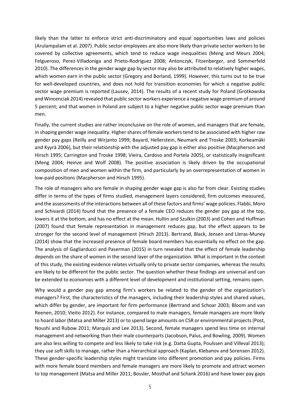likely than the latter to enforce strict anti-discriminatory and equal opportunities laws and policies (Arulampalam et al. 2007). Public sector employees are also more likely than private sector workers to be covered by collective agreements, which tend to reduce wage inequalities (Meng and Meurs 2004; Felgueroso, Perez-Villadoniga and Prieto-Rodriguez 2008; Antonczyk, Fitzenberger, and Sommerfeld 2010). The differences in the gender wage gap by sector may also be attributed to relatively higher wages, which women earn in the public sector (Gregory and Borland, 1999). However, this turns out to be true for well-developed countries, and does not hold for transition economies for which a negative public sector wage premium is reported (Lausev, 2014). The results of a recent study for Poland (Grotkowska and Wincenciak 2014) revealed that public sector workers experience a negative wage premium of around 5 percent; and that women in Poland are subject to a higher negative public sector wage premium than men.

Finally, the current studies are rather inconclusive on the role of women, and managers that are female, in shaping gender wage inequality. Higher shares of female workers tend to be associated with higher raw gender pay gaps (Reilly and Wirjanto 1999; Bayard, Hellerstein, Neumark and Troske 2003; Korkeamäki and Kyyrä 2006), but their relationship with the adjusted pay gap is either also positive (Macpherson and Hirsch 1995; Carrington and Troske 1998; Vieira, Cardoso and Portela 2005), or statistically insignificant (Meng 2004; Heinze and Wolf 2008). The positive association is likely driven by the occupational composition of men and women within the firm, and particularly by an overrepresentation of women in low-paid positions (Macpherson and Hirsch 1995).

The role of managers who are female in shaping gender wage gap is also far from clear. Existing studies differ in terms of the types of firms studied, management layers considered, firm outcomes measured, and the assessments of the interactions between all of these factors and firms' wage policies. Flabbi, Moro and Schivardi (2014) found that the presence of a female CEO reduces the gender pay gap at the top, lowers it at the bottom, and has no effect at the mean. Hultin and Szulkin (2003) and Cohen and Huffman (2007) found that female representation in management reduces gap, but the effect appears to be stronger for the second level of management (Hirsch 2013). Bertrand, Black, Jensen and Lleras-Muney (2014) show that the increased presence of female board members has essentially no effect on the gap. The analysis of Gagliarducci and Paserman (2015) in turn revealed that the effect of female leadership depends on the share of women in the second layer of the organization. What is important in the context of this study, the existing evidence relates virtually only to private sector companies, whereas the results are likely to be different for the public sector. The question whether these findings are universal and can be extended to economies with a different level of development and institutional setting, remains open.

Why would a gender pay gap among firm's workers be related to the gender of the organization's managers? First, the characteristics of the managers, including their leadership styles and shared values, which differ by gender, are important for firm performance (Bertrand and Schoar 2003; Bloom and van Reenen, 2010; Vieito 2012). For instance, compared to male managers, female managers are more likely to hoard labor (Matsa and Miller 2013) or to spend large amounts on CSR or environmental projects (Post, Noushi and Rubow 2011; Marquis and Lee 2013). Second, female managers spend less time on internal management and networking than their male counterparts (Jacobson, Palus, and Bowling, 2009). Women are also less willing to compete and less likely to take risk (e.g. Datta Gupta, Poulssen and Villeval 2013); they use soft skills to manage, rather than a hierarchical approach (Kaplan, Klebanov and Sorensen 2012). These gender-specific leadership styles might translate into different promotion and pay policies. Firms with more female board members and female managers are more likely to promote and attract women to top management (Matsa and Miller 2011; Bossler, Mosthaf and Schank 2016) and have lower pay gaps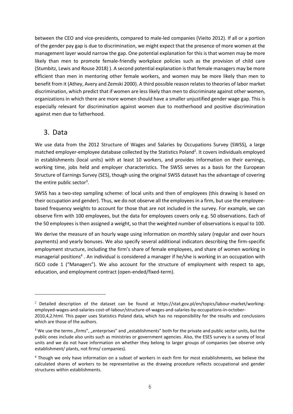between the CEO and vice-presidents, compared to male-led companies (Vieito 2012). If all or a portion of the gender pay gap is due to discrimination, we might expect that the presence of more women at the management layer would narrow the gap. One potential explanation for this is that women may be more likely than men to promote female-friendly workplace policies such as the provision of child care (Stumbitz, Lewis and Rouse 2018) ). A second potential explanation is that female managers may be more efficient than men in mentoring other female workers, and women may be more likely than men to benefit from it (Athey, Avery and Zemski 2000). A third possible reason relates to theories of labor market discrimination, which predict that if women are less likely than men to discriminate against other women, organizations in which there are more women should have a smaller unjustified gender wage gap. This is especially relevant for discrimination against women due to motherhood and positive discrimination against men due to fatherhood.

## 3. Data

We use data from the 2012 Structure of Wages and Salaries by Occupations Survey (SWSS), a large matched employer-employee database collected by the Statistics Poland<sup>2</sup>. It covers individuals employed in establishments (local units) with at least 10 workers, and provides information on their earnings, working time, jobs held and employer characteristics. The SWSS serves as a basis for the European Structure of Earnings Survey (SES), though using the original SWSS dataset has the advantage of covering the entire public sector<sup>3</sup>.

SWSS has a two-step sampling scheme: of local units and then of employees (this drawing is based on their occupation and gender). Thus, we do not observe all the employees in a firm, but use the employeebased frequency weights to account for those that are not included in the survey. For example, we can observe firm with 100 employees, but the data for employees covers only e.g. 50 observations. Each of the 50 employees is then assigned a weight, so that the weighted number of observations is equal to 100.

We derive the measure of an hourly wage using information on monthly salary (regular and over hours payments) and yearly bonuses. We also specify several additional indicators describing the firm-specific employment structure, including the firm's share of female employees, and share of women working in managerial positions<sup>4</sup>. An individual is considered a manager if he/she is working in an occupation with ISCO code 1 ("Managers"). We also account for the structure of employment with respect to age, education, and employment contract (open-ended/fixed-term).

<sup>&</sup>lt;sup>2</sup> Detailed description of the dataset can be found at https://stat.gov.pl/en/topics/labour-market/workingemployed-wages-and-salaries-cost-of-labour/structure-of-wages-and-salaries-by-occupations-in-october-2010,4,2.html. This paper uses Statistics Poland data, which has no responsibility for the results and conclusions which are those of the authors.

 $3$  We use the terms "firms", "enterprises" and "establishments" both for the private and public sector units, but the public ones include also units such as ministries or government agencies. Also, the ESES survey is a survey of local units and we do not have information on whether they belong to larger groups of companies (we observe only establishment/ plants, not firms/ companies).

<sup>4</sup> Though we only have information on a subset of workers in each firm for most establishments, we believe the calculated shares of workers to be representative as the drawing procedure reflects occupational and gender structures within establishments.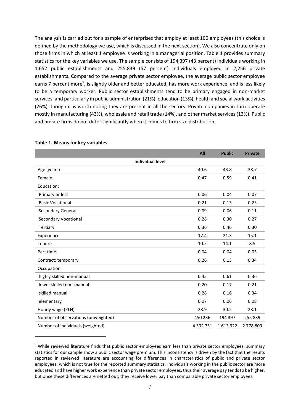The analysis is carried out for a sample of enterprises that employ at least 100 employees (this choice is defined by the methodology we use, which is discussed in the next section). We also concentrate only on those firms in which at least 1 employee is working in a managerial position. Table 1 provides summary statistics for the key variables we use. The sample consists of 194,397 (43 percent) individuals working in 1,652 public establishments and 255,839 (57 percent) individuals employed in 2,256 private establishments. Compared to the average private sector employee, the average public sector employee earns 7 percent more<sup>5</sup>, is slightly older and better educated, has more work experience, and is less likely to be a temporary worker. Public sector establishments tend to be primary engaged in non-market services, and particularly in public administration (21%), education (13%), health and social work activities (26%), though it is worth noting they are present in all the sectors. Private companies in turn operate mostly in manufacturing (43%), wholesale and retail trade (14%), and other market services (13%). Public and private firms do not differ significantly when it comes to firm size distribution.

|                                     | All           | <b>Public</b> | <b>Private</b> |
|-------------------------------------|---------------|---------------|----------------|
| <b>Individual level</b>             |               |               |                |
| Age (years)                         | 40.6          | 43.8          | 38.7           |
| Female                              | 0.47          | 0.59          | 0.41           |
| Education:                          |               |               |                |
| Primary or less                     | 0.06          | 0.04          | 0.07           |
| <b>Basic Vocational</b>             | 0.21          | 0.13          | 0.25           |
| Secondary General                   | 0.09          | 0.06          | 0.11           |
| <b>Secondary Vocational</b>         | 0.28          | 0.30          | 0.27           |
| Tertiary                            | 0.36          | 0.46          | 0.30           |
| Experience                          | 17.4          | 21.3          | 15.1           |
| Tenure                              | 10.5          | 14.1          | 8.5            |
| Part time                           | 0.04          | 0.04          | 0.05           |
| Contract: temporary                 | 0.26          | 0.13          | 0.34           |
| Occupation                          |               |               |                |
| highly skilled non-manual           | 0.45          | 0.61          | 0.36           |
| lower skilled non-manual            | 0.20          | 0.17          | 0.21           |
| skilled manual                      | 0.28          | 0.16          | 0.34           |
| elementary                          | 0.07          | 0.06          | 0.08           |
| Hourly wage (PLN)                   | 28.9          | 30.2          | 28.1           |
| Number of observations (unweighted) | 450 236       | 194 397       | 255 839        |
| Number of individuals (weighted)    | 4 3 9 2 7 3 1 | 1613922       | 2778809        |

#### **Table 1. Means for key variables**

*<sup>5</sup>* While reviewed literature finds that public sector employees earn less than private sector employees, summary statistics for our sample show a public sector wage premium. This inconsistency is driven by the fact that the results reported in reviewed literature are accounting for differences in characteristics of public and private sector employees, which is not true for the reported summary statistics. Individuals working in the public sector are more educated and have higher work experience than private sector employees, thus their average pay tends to be higher, but once these differences are netted out, they receive lower pay than comparable private sector employees.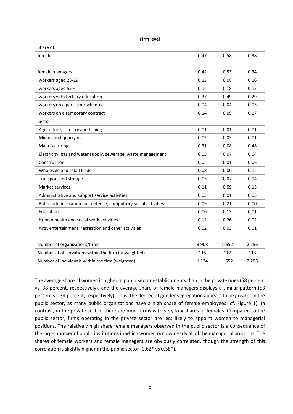| <b>Firm level</b>                                               |         |      |         |  |
|-----------------------------------------------------------------|---------|------|---------|--|
| Share of:                                                       |         |      |         |  |
| females                                                         | 0.47    | 0.58 | 0.38    |  |
|                                                                 |         |      |         |  |
| female managers                                                 | 0.42    | 0.53 | 0.34    |  |
| workers aged 25-29                                              | 0.13    | 0.08 | 0.16    |  |
| workers aged 55 +                                               | 0.14    | 0.18 | 0.12    |  |
| workers with tertiary education                                 | 0.37    | 0.49 | 0.29    |  |
| workers on a part-time schedule                                 | 0.04    | 0.04 | 0.03    |  |
| workers on a temporary contract                                 | 0.14    | 0.09 | 0.17    |  |
| Sector:                                                         |         |      |         |  |
| Agriculture, forestry and fishing                               | 0.01    | 0.01 | 0.01    |  |
| Mining and quarrying                                            | 0.02    | 0.03 | 0.01    |  |
| Manufacturing                                                   | 0.31    | 0.08 | 0.48    |  |
| Electricity, gas and water supply, sewerage, waste management   | 0.05    | 0.07 | 0.04    |  |
| Construction                                                    | 0.04    | 0.01 | 0.06    |  |
| Wholesale and retail trade                                      | 0.08    | 0.00 | 0.14    |  |
| Transport and storage                                           | 0.05    | 0.07 | 0.04    |  |
| Market services                                                 | 0.11    | 0.09 | 0.13    |  |
| Administrative and support service activities                   | 0.03    | 0.01 | 0.05    |  |
| Public administration and defence; compulsory social activities | 0.09    | 0.21 | 0.00    |  |
| Education                                                       | 0.06    | 0.13 | 0.01    |  |
| Human health and social work activities                         | 0.12    | 0.26 | 0.02    |  |
| Arts, entertainment, recreation and other activities            | 0.02    | 0.03 | 0.01    |  |
|                                                                 |         |      |         |  |
| Number of organizations/firms                                   | 3 9 0 8 | 1652 | 2 2 5 6 |  |
| Number of observations within the firm (unweighted)             | 115     | 117  | 113     |  |
| Number of individuals within the firm (weighted)                | 1 1 2 4 | 1652 | 2 2 5 6 |  |

The average share of women is higher in public sector establishments than in the private ones (58 percent vs. 38 percent, respectively), and the average share of female managers displays a similar pattern (53 percent vs. 34 percent, respectively). Thus, the degree of gender segregation appears to be greater in the public sector, as many public organizations have a high share of female employees (cf. Figure 1). In contrast, in the private sector, there are more firms with very low shares of females. Compared to the public sector, firms operating in the private sector are less likely to appoint women to managerial positions. The relatively high share female managers observed in the public sector is a consequence of the large number of public institutions in which women occupy nearly all of the managerial positions. The shares of female workers and female managers are obviously correlated, though the strength of this correlation is slightly higher in the public sector (0.62\* vs 0.58\*).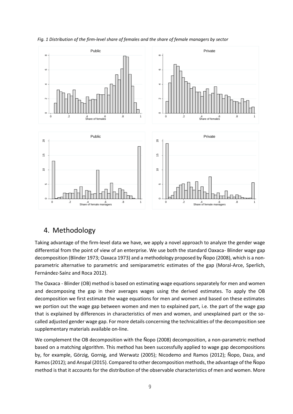

*Fig. 1 Distribution of the firm-level share of females and the share of female managers by sector*

## 4. Methodology

Taking advantage of the firm-level data we have, we apply a novel approach to analyze the gender wage differential from the point of view of an enterprise. We use both the standard Oaxaca- Blinder wage gap decomposition (Blinder 1973; Oaxaca 1973) and a methodology proposed by Ñopo (2008), which is a nonparametric alternative to parametric and semiparametric estimates of the gap (Moral-Arce, Sperlich, Fernández-Saínz and Roca 2012).

The Oaxaca - Blinder (OB) method is based on estimating wage equations separately for men and women and decomposing the gap in their averages wages using the derived estimates. To apply the OB decomposition we first estimate the wage equations for men and women and based on these estimates we portion out the wage gap between women and men to explained part, i.e. the part of the wage gap that is explained by differences in characteristics of men and women, and unexplained part or the socalled adjusted gender wage gap. For more details concerning the technicalities of the decomposition see supplementary materials available on-line.

We complement the OB decomposition with the Ñopo (2008) decomposition, a non-parametric method based on a matching algorithm. This method has been successfully applied to wage gap decompositions by, for example, Görzig, Gornig, and Werwatz (2005); Nicodemo and Ramos (2012); Ñopo, Daza, and Ramos (2012); and Anspal (2015). Compared to other decomposition methods, the advantage of the Ñopo method is that it accounts for the distribution of the observable characteristics of men and women. More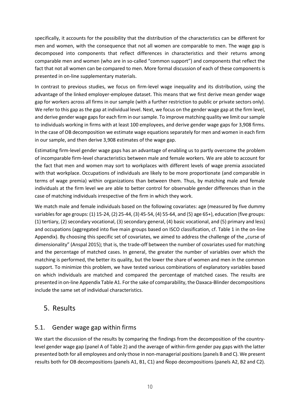specifically, it accounts for the possibility that the distribution of the characteristics can be different for men and women, with the consequence that not all women are comparable to men. The wage gap is decomposed into components that reflect differences in characteristics and their returns among comparable men and women (who are in so-called "common support") and components that reflect the fact that not all women can be compared to men. More formal discussion of each of these components is presented in on-line supplementary materials.

In contrast to previous studies, we focus on firm-level wage inequality and its distribution, using the advantage of the linked employer-employee dataset. This means that we first derive mean gender wage gap for workers across all firms in our sample (with a further restriction to public or private sectors only). We refer to this gap as the gap at individual level. Next, we focus on the gender wage gap at the firm level, and derive gender wage gaps for each firm in our sample. To improve matching quality we limit our sample to individuals working in firms with at least 100 employees, and derive gender wage gaps for 3,908 firms. In the case of OB decomposition we estimate wage equations separately for men and women in each firm in our sample, and then derive 3,908 estimates of the wage gap.

Estimating firm-level gender wage gaps has an advantage of enabling us to partly overcome the problem of incomparable firm-level characteristics between male and female workers. We are able to account for the fact that men and women may sort to workplaces with different levels of wage premia associated with that workplace. Occupations of individuals are likely to be more proportionate (and comparable in terms of wage premia) within organizations than between them. Thus, by matching male and female individuals at the firm level we are able to better control for observable gender differences than in the case of matching individuals irrespective of the firm in which they work.

We match male and female individuals based on the following covariates: age (measured by five dummy variables for age groups: (1) 15-24, (2) 25-44, (3) 45-54, (4) 55-64, and (5) age 65+), education (five groups: (1) tertiary, (2) secondary vocational, (3) secondary general, (4) basic vocational, and (5) primary and less) and occupations (aggregated into five main groups based on ISCO classification, cf. Table 1 in the on-line Appendix). By choosing this specific set of covariates, we aimed to address the challenge of the "curse of dimensionality" (Anspal 2015); that is, the trade-off between the number of covariates used for matching and the percentage of matched cases. In general, the greater the number of variables over which the matching is performed, the better its quality, but the lower the share of women and men in the common support. To minimize this problem, we have tested various combinations of explanatory variables based on which individuals are matched and compared the percentage of matched cases. The results are presented in on-line Appendix Table A1. For the sake of comparability, the Oaxaca-Blinder decompositions include the same set of individual characteristics.

## 5. Results

### 5.1. Gender wage gap within firms

We start the discussion of the results by comparing the findings from the decomposition of the countrylevel gender wage gap (panel A of Table 2) and the average of within-firm gender pay gaps with the latter presented both for all employees and only those in non-managerial positions (panels B and C). We present results both for OB decompositions (panels A1, B1, C1) and Ñopo decompositions (panels A2, B2 and C2).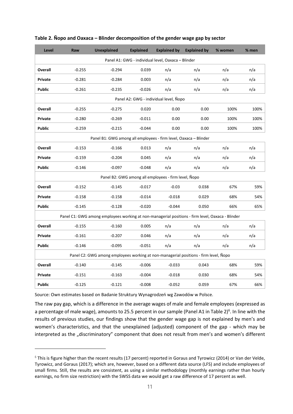| Level         | Raw      | <b>Unexplained</b>                                                                               | <b>Explained</b> | <b>Explained by</b>                                  | <b>Explained by</b> | % women | $%$ men |
|---------------|----------|--------------------------------------------------------------------------------------------------|------------------|------------------------------------------------------|---------------------|---------|---------|
|               |          |                                                                                                  |                  | Panel A1: GWG - individual level, Oaxaca - Blinder   |                     |         |         |
| Overall       | $-0.255$ | $-0.294$                                                                                         | 0.039            | n/a                                                  | n/a                 | n/a     | n/a     |
| Private       | $-0.281$ | $-0.284$                                                                                         | 0.003            | n/a                                                  | n/a                 | n/a     | n/a     |
| <b>Public</b> | $-0.261$ | $-0.235$                                                                                         | $-0.026$         | n/a                                                  | n/a                 | n/a     | n/a     |
|               |          |                                                                                                  |                  | Panel A2: GWG - individual level, Nopo               |                     |         |         |
| Overall       | $-0.255$ | $-0.275$                                                                                         | 0.020            | 0.00                                                 | 0.00                | 100%    | 100%    |
| Private       | $-0.280$ | $-0.269$                                                                                         | $-0.011$         | 0.00                                                 | 0.00                | 100%    | 100%    |
| <b>Public</b> | $-0.259$ | $-0.215$                                                                                         | $-0.044$         | 0.00                                                 | 0.00                | 100%    | 100%    |
|               |          | Panel B1: GWG among all employees - firm level, Oaxaca - Blinder                                 |                  |                                                      |                     |         |         |
| Overall       | $-0.153$ | $-0.166$                                                                                         | 0.013            | n/a                                                  | n/a                 | n/a     | n/a     |
| Private       | $-0.159$ | $-0.204$                                                                                         | 0.045            | n/a                                                  | n/a                 | n/a     | n/a     |
| <b>Public</b> | $-0.146$ | $-0.097$                                                                                         | $-0.048$         | n/a                                                  | n/a                 | n/a     | n/a     |
|               |          |                                                                                                  |                  | Panel B2: GWG among all employees - firm level, Nopo |                     |         |         |
| Overall       | $-0.152$ | $-0.145$                                                                                         | $-0.017$         | $-0.03$                                              | 0.038               | 67%     | 59%     |
| Private       | $-0.158$ | $-0.158$                                                                                         | $-0.014$         | $-0.018$                                             | 0.029               | 68%     | 54%     |
| <b>Public</b> | $-0.145$ | $-0.128$                                                                                         | $-0.020$         | $-0.044$                                             | 0.050               | 66%     | 65%     |
|               |          | Panel C1: GWG among employees working at non-managerial positions - firm level, Oaxaca - Blinder |                  |                                                      |                     |         |         |
| Overall       | $-0.155$ | $-0.160$                                                                                         | 0.005            | n/a                                                  | n/a                 | n/a     | n/a     |
| Private       | $-0.161$ | $-0.207$                                                                                         | 0.046            | n/a                                                  | n/a                 | n/a     | n/a     |
| <b>Public</b> | $-0.146$ | $-0.095$                                                                                         | $-0.051$         | n/a                                                  | n/a                 | n/a     | n/a     |
|               |          | Panel C2: GWG among employees working at non-managerial positions - firm level, Nopo             |                  |                                                      |                     |         |         |
| Overall       | $-0.140$ | $-0.145$                                                                                         | $-0.006$         | $-0.033$                                             | 0.043               | 68%     | 59%     |
| Private       | $-0.151$ | $-0.163$                                                                                         | $-0.004$         | $-0.018$                                             | 0.030               | 68%     | 54%     |
| <b>Public</b> | $-0.125$ | $-0.121$                                                                                         | $-0.008$         | $-0.052$                                             | 0.059               | 67%     | 66%     |

#### **Table 2. Ñopo and Oaxaca – Blinder decomposition of the gender wage gap by sector**

Source: Own estimates based on Badanie Struktury Wynagrodzeń wg Zawodów w Polsce.

The raw pay gap, which is a difference in the average wages of male and female employees (expressed as a percentage of male wage), amounts to 25.5 percent in our sample (Panel A1 in Table 2)<sup>6</sup>. In line with the results of previous studies, our findings show that the gender wage gap is not explained by men's and women's characteristics, and that the unexplained (adjusted) component of the gap - which may be interpreted as the "discriminatory" component that does not result from men's and women's different

*<sup>6</sup>* This is figure higher than the recent results (17 percent) reported in Goraus and Tyrowicz (2014) or Van der Velde, Tyrowicz, and Goraus (2017); which are, however, based on a different data source (LFS) and include employees of small firms. Still, the results are consistent, as using a similar methodology (monthly earnings rather than hourly earnings, no firm size restriction) with the SWSS data we would get a raw difference of 17 percent as well.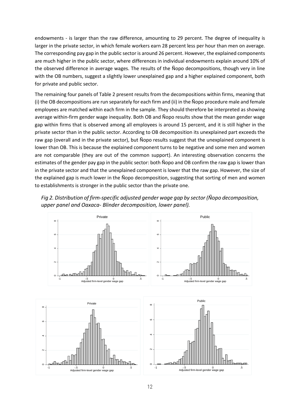endowments - is larger than the raw difference, amounting to 29 percent. The degree of inequality is larger in the private sector, in which female workers earn 28 percent less per hour than men on average. The corresponding pay gap in the public sector is around 26 percent. However, the explained components are much higher in the public sector, where differences in individual endowments explain around 10% of the observed difference in average wages. The results of the Ñopo decompositions, though very in line with the OB numbers, suggest a slightly lower unexplained gap and a higher explained component, both for private and public sector.

The remaining four panels of Table 2 present results from the decompositions within firms, meaning that (i) the OB decompositions are run separately for each firm and (ii) in the Ñopo procedure male and female employees are matched within each firm in the sample. They should therefore be interpreted as showing average within-firm gender wage inequality. Both OB and Ñopo results show that the mean gender wage gap within firms that is observed among all employees is around 15 percent, and it is still higher in the private sector than in the public sector. According to OB decomposition its unexplained part exceeds the raw gap (overall and in the private sector), but Ñopo results suggest that the unexplained component is lower than OB. This is because the explained component turns to be negative and some men and women are not comparable (they are out of the common support). An interesting observation concerns the estimates of the gender pay gap in the public sector: both Ñopo and OB confirm the raw gap is lower than in the private sector and that the unexplained component is lower that the raw gap. However, the size of the explained gap is much lower in the Ñopo decomposition, suggesting that sorting of men and women to establishments is stronger in the public sector than the private one.



*Fig 2. Distribution of firm-specific adjusted gender wage gap by sector (Ñopo decomposition, upper panel and Oaxaca- Blinder decomposition, lower panel).*

 $\circ$ 

-1 -.5 0 .5 Adjusted firm-level gender wage gap

-1 -.5 0 .5 Adjusted firm-level gender wage gap

 $\sim$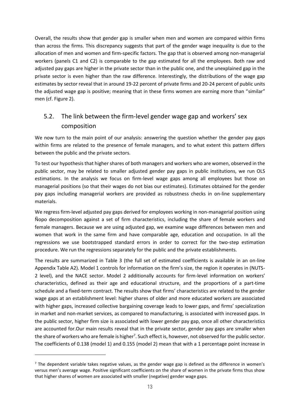Overall, the results show that gender gap is smaller when men and women are compared within firms than across the firms. This discrepancy suggests that part of the gender wage inequality is due to the allocation of men and women and firm-specific factors. The gap that is observed among non-managerial workers (panels C1 and C2) is comparable to the gap estimated for all the employees. Both raw and adjusted pay gaps are higher in the private sector than in the public one, and the unexplained gap in the private sector is even higher than the raw difference. Interestingly, the distributions of the wage gap estimates by sector reveal that in around 19-22 percent of private firms and 20-24 percent of public units the adjusted wage gap is positive; meaning that in these firms women are earning more than "similar" men (cf. Figure 2).

## 5.2. The link between the firm-level gender wage gap and workers' sex composition

We now turn to the main point of our analysis: answering the question whether the gender pay gaps within firms are related to the presence of female managers, and to what extent this pattern differs between the public and the private sectors.

To test our hypothesis that higher shares of both managers and workers who are women, observed in the public sector, may be related to smaller adjusted gender pay gaps in public institutions, we run OLS estimations. In the analysis we focus on firm-level wage gaps among all employees but those on managerial positions (so that their wages do not bias our estimates). Estimates obtained for the gender pay gaps including managerial workers are provided as robustness checks in on-line supplementary materials.

We regress firm-level adjusted pay gaps derived for employees working in non-managerial position using Ñopo decomposition against a set of firm characteristics, including the share of female workers and female managers. Because we are using adjusted gap, we examine wage differences between men and women that work in the same firm and have comparable age, education and occupation. In all the regressions we use bootstrapped standard errors in order to correct for the two-step estimation procedure. We run the regressions separately for the public and the private establishments.

The results are summarized in Table 3 (the full set of estimated coefficients is available in an on-line Appendix Table A2). Model 1 controls for information on the firm's size, the region it operates in (NUTS-2 level), and the NACE sector. Model 2 additionally accounts for firm-level information on workers' characteristics, defined as their age and educational structure, and the proportions of a part-time schedule and a fixed-term contract. The results show that firms' characteristics are related to the gender wage gaps at an establishment level: higher shares of older and more educated workers are associated with higher gaps, increased collective bargaining coverage leads to lower gaps, and firms' specialization in market and non-market services, as compared to manufacturing, is associated with increased gaps. In the public sector, higher firm size is associated with lower gender pay gap, once all other characteristics are accounted for.Our main results reveal that in the private sector, gender pay gaps are smaller when the share of workers who are female is higher<sup>7</sup>. Such effect is, however, not observed for the public sector. The coefficients of 0.138 (model 1) and 0.155 (model 2) mean that with a 1 percentage point increase in

 $<sup>7</sup>$  The dependent variable takes negative values, as the gender wage gap is defined as the difference in women's</sup> versus men's average wage. Positive significant coefficients on the share of women in the private firms thus show that higher shares of women are associated with smaller (negative) gender wage gaps.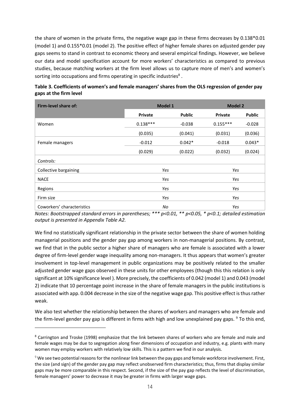the share of women in the private firms, the negative wage gap in these firms decreases by 0.138\*0.01 (model 1) and 0.155\*0.01 (model 2). The positive effect of higher female shares on adjusted gender pay gaps seems to stand in contrast to economic theory and several empirical findings. However, we believe our data and model specification account for more workers' characteristics as compared to previous studies, because matching workers at the firm level allows us to capture more of men's and women's sorting into occupations and firms operating in specific industries<sup>8</sup>.

| Firm-level share of:       | Model 1        |               | <b>Model 2</b> |               |  |
|----------------------------|----------------|---------------|----------------|---------------|--|
|                            | <b>Private</b> | <b>Public</b> | <b>Private</b> | <b>Public</b> |  |
| Women                      | $0.138***$     | $-0.038$      | $0.155***$     | $-0.028$      |  |
|                            | (0.035)        | (0.041)       | (0.031)        | (0.036)       |  |
| Female managers            | $-0.012$       | $0.042*$      | $-0.018$       | $0.043*$      |  |
|                            | (0.029)        | (0.022)       | (0.032)        | (0.024)       |  |
| Controls:                  |                |               |                |               |  |
| Collective bargaining      | Yes            |               | Yes            |               |  |
| <b>NACE</b>                | Yes            |               | Yes            |               |  |
| Regions                    | Yes            |               | Yes            |               |  |
| Firm size                  | Yes            |               | Yes            |               |  |
| Coworkers' characteristics | No             |               | Yes            |               |  |

| Table 3. Coefficients of women's and female managers' shares from the OLS regression of gender pay |  |
|----------------------------------------------------------------------------------------------------|--|
| gaps at the firm level                                                                             |  |

*Notes: Bootstrapped standard errors in parentheses; \*\*\* p<0.01, \*\* p<0.05, \* p<0.1; detailed estimation output is presented in Appendix Table A2.*

We find no statistically significant relationship in the private sector between the share of women holding managerial positions and the gender pay gap among workers in non-managerial positions. By contrast, we find that in the public sector a higher share of managers who are female is associated with a lower degree of firm-level gender wage inequality among non-managers. It thus appears that women's greater involvement in top-level management in public organizations may be positively related to the smaller adjusted gender wage gaps observed in these units for other employees (though this this relation is only significant at 10% significance level ). More precisely, the coefficients of 0.042 (model 1) and 0.043 (model 2) indicate that 10 percentage point increase in the share of female managers in the public institutions is associated with app. 0.004 decrease in the size of the negative wage gap. This positive effect is thus rather weak.

We also test whether the relationship between the shares of workers and managers who are female and the firm-level gender pay gap is different in firms with high and low unexplained pay gaps. <sup>9</sup> To this end,

<sup>8</sup> Carrington and Troske (1998) emphasize that the link between shares of workers who are female and male and female wages may be due to segregation along finer dimensions of occupation and industry, e.g. plants with many women may employ workers with relatively low skills. This is a pattern we find in our analysis.

*<sup>9</sup>* We see two potential reasons for the nonlinear link between the pay gaps and female workforce involvement. First, the size (and sign) of the gender pay gap may reflect unobserved firm characteristics; thus, firms that display similar gaps may be more comparable in this respect. Second, if the size of the pay gap reflects the level of discrimination, female managers' power to decrease it may be greater in firms with larger wage gaps.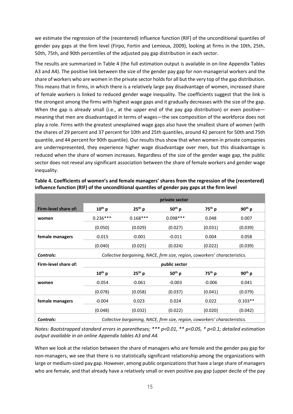we estimate the regression of the (recentered) influence function (RIF) of the unconditional quantiles of gender pay gaps at the firm level (Firpo, Fortin and Lemieux, 2009), looking at firms in the 10th, 25th, 50th, 75th, and 90th percentiles of the adjusted pay gap distribution in each sector.

The results are summarized in Table 4 (the full estimation output is available in on-line Appendix Tables A3 and A4). The positive link between the size of the gender pay gap for non-managerial workers and the share of workers who are women in the private sector holds for all but the very top of the gap distribution. This means that in firms, in which there is a relatively large pay disadvantage of women, increased share of female workers is linked to reduced gender wage inequality. The coefficients suggest that the link is the strongest among the firms with highest wage gaps and it gradually decreases with the size of the gap. When the gap is already small (i.e., at the upper end of the pay gap distribution) or even positive meaning that men are disadvantaged in terms of wages—the sex composition of the workforce does not play a role. Firms with the greatest unexplained wage gaps also have the smallest share of women (with the shares of 29 percent and 37 percent for 10th and 25th quantiles, around 42 percent for 50th and 75th quantile, and 44 percent for 90th quantile). Our results thus show that when women in private companies are underrepresented, they experience higher wage disadvantage over men, but this disadvantage is reduced when the share of women increases. Regardless of the size of the gender wage gap, the public sector does not reveal any significant association between the share of female workers and gender wage inequality.

|                      | private sector |                                                                             |               |             |             |  |
|----------------------|----------------|-----------------------------------------------------------------------------|---------------|-------------|-------------|--|
| Firm-level share of: | $10^{th}$ p    | $25th$ p                                                                    | $50th$ p      | $75^{th}$ p | $90th$ p    |  |
| women                | $0.236***$     | $0.168***$                                                                  | $0.098***$    | 0.048       | 0.007       |  |
|                      | (0.050)        | (0.029)                                                                     | (0.027)       | (0.031)     | (0.039)     |  |
| female managers      | $-0.015$       | $-0.001$                                                                    | $-0.011$      | 0.004       | 0.058       |  |
|                      | (0.040)        | (0.025)                                                                     | (0.024)       | (0.022)     | (0.039)     |  |
| Controls:            |                | Collective bargaining, NACE, firm size, region, coworkers' characteristics. |               |             |             |  |
|                      |                |                                                                             |               |             |             |  |
| Firm-level share of: |                |                                                                             | public sector |             |             |  |
|                      | $10^{th}$ p    | $25th$ p                                                                    | $50th$ p      | $75^{th}$ p | $90^{th}$ p |  |
| women                | $-0.054$       | $-0.061$                                                                    | $-0.003$      | $-0.006$    | 0.041       |  |
|                      | (0.078)        | (0.058)                                                                     | (0.037)       | (0.041)     | (0.079)     |  |
| female managers      | $-0.004$       | 0.023                                                                       | 0.024         | 0.022       | $0.103**$   |  |
|                      | (0.048)        | (0.032)                                                                     | (0.022)       | (0.020)     | (0.042)     |  |

**Table 4. Coefficients of women's and female managers' shares from the regression of the (recentered) influence function (RIF) of the unconditional quantiles of gender pay gaps at the firm level**

*Notes: Bootstrapped standard errors in parentheses; \*\*\* p<0.01, \*\* p<0.05, \* p<0.1; detailed estimation output available in an online Appendix tables A3 and A4.*

When we look at the relation between the share of managers who are female and the gender pay gap for non-managers, we see that there is no statistically significant relationship among the organizations with large or medium-sized pay gap. However, among public organizations that have a large share of managers who are female, and that already have a relatively small or even positive pay gap (upper decile of the pay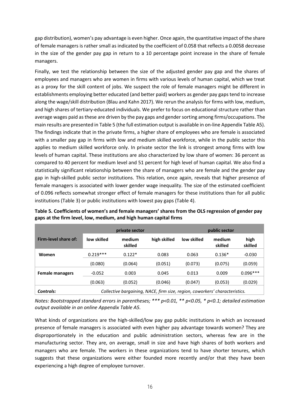gap distribution), women's pay advantage is even higher. Once again, the quantitative impact of the share of female managers is rather small as indicated by the coefficient of 0.058 that reflects a 0.0058 decrease in the size of the gender pay gap in return to a 10 percentage point increase in the share of female managers.

Finally, we test the relationship between the size of the adjusted gender pay gap and the shares of employees and managers who are women in firms with various levels of human capital, which we treat as a proxy for the skill content of jobs. We suspect the role of female managers might be different in establishments employing better educated (and better paid) workers as gender pay gaps tend to increase along the wage/skill distribution (Blau and Kahn 2017). We rerun the analysis for firms with low, medium, and high shares of tertiary-educated individuals. We prefer to focus on educational structure rather than average wages paid as these are driven by the pay gaps and gender sorting among firms/occupations. The main results are presented in Table 5 (the full estimation output is available in on-line Appendix Table A5). The findings indicate that in the private firms, a higher share of employees who are female is associated with a smaller pay gap in firms with low and medium skilled workforce, while in the public sector this applies to medium skilled workforce only. In private sector the link is strongest among firms with low levels of human capital. These institutions are also characterized by low share of women: 36 percent as compared to 40 percent for medium level and 51 percent for high level of human capital. We also find a statistically significant relationship between the share of managers who are female and the gender pay gap in high-skilled public sector institutions. This relation, once again, reveals that higher presence of female managers is associated with lower gender wage inequality. The size of the estimated coefficient of 0.096 reflects somewhat stronger effect of female managers for these institutions than for all public institutions (Table 3) or public institutions with lowest pay gaps (Table 4).

|                        |             | private sector                                                              |              |             | public sector     |                 |
|------------------------|-------------|-----------------------------------------------------------------------------|--------------|-------------|-------------------|-----------------|
| Firm-level share of:   | low skilled | medium<br>skilled                                                           | high skilled | low skilled | medium<br>skilled | high<br>skilled |
| Women                  | $0.219***$  | $0.122*$                                                                    | 0.083        | 0.063       | $0.136*$          | $-0.030$        |
|                        | (0.080)     | (0.064)                                                                     | (0.051)      | (0.073)     | (0.075)           | (0.059)         |
| <b>Female managers</b> | $-0.052$    | 0.003                                                                       | 0.045        | 0.013       | 0.009             | $0.096***$      |
|                        | (0.063)     | (0.052)                                                                     | (0.046)      | (0.047)     | (0.053)           | (0.029)         |
| Controls:              |             | Collective bargaining, NACE, firm size, region, coworkers' characteristics. |              |             |                   |                 |

**Table 5. Coefficients of women's and female managers' shares from the OLS regression of gender pay gaps at the firm level, low, medium, and high human capital firms** 

*Notes: Bootstrapped standard errors in parentheses; \*\*\* p<0.01, \*\* p<0.05, \* p<0.1; detailed estimation output available in an online Appendix Table A5.*

What kinds of organizations are the high-skilled/low pay gap public institutions in which an increased presence of female managers is associated with even higher pay advantage towards women? They are disproportionately in the education and public administration sectors, whereas few are in the manufacturing sector. They are, on average, small in size and have high shares of both workers and managers who are female. The workers in these organizations tend to have shorter tenures, which suggests that these organizations were either founded more recently and/or that they have been experiencing a high degree of employee turnover.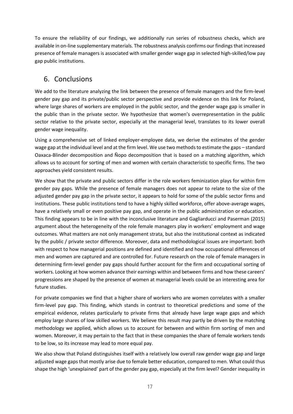To ensure the reliability of our findings, we additionally run series of robustness checks, which are available in on-line supplementary materials. The robustness analysis confirms our findings that increased presence of female managers is associated with smaller gender wage gap in selected high-skilled/low pay gap public institutions.

## 6. Conclusions

We add to the literature analyzing the link between the presence of female managers and the firm-level gender pay gap and its private/public sector perspective and provide evidence on this link for Poland, where large shares of workers are employed in the public sector, and the gender wage gap is smaller in the public than in the private sector. We hypothesize that women's overrepresentation in the public sector relative to the private sector, especially at the managerial level, translates to its lower overall gender wage inequality.

Using a comprehensive set of linked employer-employee data, we derive the estimates of the gender wage gap at the individual level and at the firm level. We use two methods to estimate the gaps – standard Oaxaca-Blinder decomposition and Ñopo decomposition that is based on a matching algorithm, which allows us to account for sorting of men and women with certain characteristic to specific firms. The two approaches yield consistent results.

We show that the private and public sectors differ in the role workers feminization plays for within firm gender pay gaps. While the presence of female managers does not appear to relate to the size of the adjusted gender pay gap in the private sector, it appears to hold for some of the public sector firms and institutions. These public institutions tend to have a highly skilled workforce, offer above-average wages, have a relatively small or even positive pay gap, and operate in the public administration or education. This finding appears to be in line with the inconclusive literature and Gagliarducci and Paserman (2015) argument about the heterogeneity of the role female managers play in workers' employment and wage outcomes. What matters are not only management strata, but also the institutional context as indicated by the public / private sector difference. Moreover, data and methodological issues are important: both with respect to how managerial positions are defined and identified and how occupational differences of men and women are captured and are controlled for. Future research on the role of female managers in determining firm-level gender pay gaps should further account for the firm and occupational sorting of workers. Looking at how women advance their earnings within and between firms and how these careers' progressions are shaped by the presence of women at managerial levels could be an interesting area for future studies.

For private companies we find that a higher share of workers who are women correlates with a smaller firm-level pay gap. This finding, which stands in contrast to theoretical predictions and some of the empirical evidence, relates particularly to private firms that already have large wage gaps and which employ large shares of low skilled workers. We believe this result may partly be driven by the matching methodology we applied, which allows us to account for between and within firm sorting of men and women. Moreover, it may pertain to the fact that in these companies the share of female workers tends to be low, so its increase may lead to more equal pay.

We also show that Poland distinguishes itself with a relatively low overall raw gender wage gap and large adjusted wage gaps that mostly arise due to female better education, compared to men. What could thus shape the high 'unexplained' part of the gender pay gap, especially at the firm level? Gender inequality in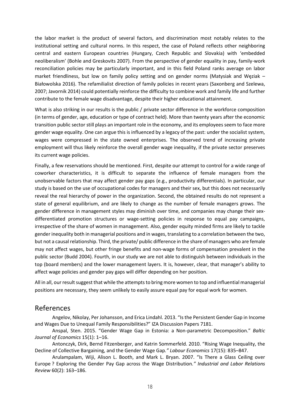the labor market is the product of several factors, and discrimination most notably relates to the institutional setting and cultural norms. In this respect, the case of Poland reflects other neighboring central and eastern European countries (Hungary, Czech Republic and Slovakia) with 'embedded neoliberalism' (Bohle and Greskovits 2007). From the perspective of gender equality in pay, family-work reconciliation policies may be particularly important, and in this field Poland ranks average on labor market friendliness, but low on family policy setting and on gender norms (Matysiak and Węziak – Białowolska 2016). The refamilialist direction of family policies in recent years (Saxonberg and Szelewa, 2007; Javornik 2014) could potentially reinforce the difficulty to combine work and family life and further contribute to the female wage disadvantage, despite their higher educational attainment.

What is also striking in our results is the public / private sector difference in the workforce composition (in terms of gender, age, education or type of contract held). More than twenty years after the economic transition public sector still plays an important role in the economy, and its employees seem to face more gender wage equality. One can argue this is influenced by a legacy of the past: under the socialist system, wages were compressed in the state owned enterprises. The observed trend of increasing private employment will thus likely reinforce the overall gender wage inequality, if the private sector preserves its current wage policies.

Finally, a few reservations should be mentioned. First, despite our attempt to control for a wide range of coworker characteristics, it is difficult to separate the influence of female managers from the unobservable factors that may affect gender pay gaps (e.g., productivity differentials). In particular, our study is based on the use of occupational codes for managers and their sex, but this does not necessarily reveal the real hierarchy of power in the organization. Second, the obtained results do not represent a state of general equilibrium, and are likely to change as the number of female managers grows. The gender difference in management styles may diminish over time, and companies may change their sexdifferentiated promotion structures or wage-setting policies in response to equal pay campaigns, irrespective of the share of women in management. Also, gender equity minded firms are likely to tackle gender inequality both in managerial positions and in wages, translating to a correlation between the two, but not a causal relationship. Third, the private/ public difference in the share of managers who are female may not affect wages, but other fringe benefits and non-wage forms of compensation prevalent in the public sector (Budd 2004). Fourth, in our study we are not able to distinguish between individuals in the top (board members) and the lower management layers. It is, however, clear, that manager's ability to affect wage policies and gender pay gaps will differ depending on her position.

All in all, our result suggest that while the attempts to bring more women to top and influential managerial positions are necessary, they seem unlikely to easily assure equal pay for equal work for women.

### References

Angelov, Nikolay, Per Johansson, and Erica Lindahl. 2013. "[Is the Persistent Gender Gap in Income](https://ideas.repec.org/p/iza/izadps/dp7181.html)  [and Wages Due to Unequal Family Responsibilities?](https://ideas.repec.org/p/iza/izadps/dp7181.html)" [IZA Discussion Papers](https://ideas.repec.org/s/iza/izadps.html) 7181.

Anspal, Sten. 2015. "Gender Wage Gap in Estonia: a Non-parametric Decomposition." *Baltic Journal of Economics* 15(1): 1–16.

Antonczyk, Dirk, Bernd Fitzenberger, and Katrin Sommerfeld. 2010. "Rising Wage Inequality, the Decline of Collective Bargaining, and the Gender Wage Gap*." Labour Economics* 17(15): 835–847.

Arulampalam, Wiji, Alison L. Booth, and Mark L. Bryan. 2007. "Is There a Glass Ceiling over Europe ? Exploring the Gender Pay Gap across the Wage Distribution*." Industrial and Labor Relations Review* 60(2): 163–186.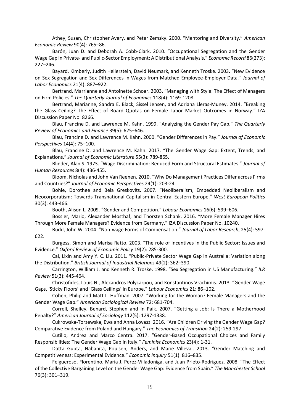Athey, Susan, Christopher Avery, and Peter Zemsky. 2000. "Mentoring and Diversity." *American Economic Review* 90(4): 765–86.

Barón, Juan D. and Deborah A. Cobb-Clark. 2010. "Occupational Segregation and the Gender Wage Gap in Private- and Public-Sector Employment: A Distributional Analysis." *Economic Record* 86(273): 227–246.

Bayard, Kimberly, Judith Hellerstein, David Neumark, and Kenneth Troske. 2003. "New Evidence on Sex Segregation and Sex Differences in Wages from Matched Employee-Employer Data*." Journal of Labor Economics* 21(4): 887–922.

Bertrand, Marrianne and Antoinette Schoar. 2003. "Managing with Style: The Effect of Managers on Firm Policies." *The Quarterly Journal of Economics* 118(4): 1169-1208.

Bertrand, Marianne, Sandra E. Black, Sissel Jensen, and Adriana Lleras-Muney. 2014. "Breaking the Glass Ceiling? The Effect of Board Quotas on Female Labor Market Outcomes in Norway." IZA Discussion Paper No. 8266.

Blau, Francine D. and Lawrence M. Kahn. 1999. "Analyzing the Gender Pay Gap." *The Quarterly Review of Economics and Finance* 39(5): 625–646.

Blau, Francine D. and Lawrence M. Kahn. 2000. "Gender Differences in Pay." *Journal of Economic Perspectives* 14(4): 75–100.

Blau, Francine D. and Lawrence M. Kahn. 2017. "The Gender Wage Gap: Extent, Trends, and Explanations." *Journal of Economic Literature* 55(3): 789-865.

Blinder, Alan S. 1973. "Wage Discrimination: Reduced Form and Structural Estimates." *Journal of Human Resources* 8(4): 436-455.

Bloom, Nicholas and John Van Reenen. 2010. "Why Do Management Practices Differ across Firms and Countries?" *Journal of Economic Perspectives* 24(1): 203-24.

Bohle, Dorothee and Bela Greskovits. 2007. "Neoliberalism, Embedded Neoliberalism and Neocorporatism: Towards Transnational Capitalism in Central-Eastern Europe." *West European Politics* 30(3): 443-466.

Booth, Alison L. 2009. "Gender and Competition." *Labour Economics* 16(6): 599–606.

Bossler, Mario, Alexander Mosthaf, and Thorsten Schank. 2016. "More Female Manager Hires Through More Female Managers? Evidence from Germany." IZA Discussion Paper No. 10240.

Budd, John W. 2004. "Non-wage Forms of Compensation." *Journal of Labor Research*, 25(4): 597- 622.

Burgess, Simon and Marisa Ratto. 2003. "The role of Incentives in the Public Sector: Issues and Evidence." *Oxford Review of Economic Policy* 19(2): 285-300.

Cai, Lixin and Amy Y. C. Liu. 2011. "Public-Private Sector Wage Gap in Australia: Variation along the Distribution." *British Journal of Industrial Relations* 49(2): 362–390.

Carrington, William J. and Kenneth R. Troske. 1998. "Sex Segregation in US Manufacturing." *ILR Review* 51(3): 445-464.

Christofides, Louis N., Alexandros Polycarpou, and Konstantinos Vrachimis. 2013. "Gender Wage Gaps, 'Sticky Floors' and 'Glass Ceilings' in Europe." *Labour Economics* 21: 86–102.

Cohen, Philip and Matt L. Huffman. 2007. "Working for the Woman? Female Managers and the Gender Wage Gap." *American Sociological Review* 72: 681-704.

Correll, Shelley, Benard, Stephen and In Paik. 2007. "Getting a Job: Is There a Motherhood Penalty?" *American Journal of Sociology* 112(5): 1297-1338.

Cukrowska-Torzewska, Ewa and Anna Lovasz. 2016. "Are Children Driving the Gender Wage Gap? Comparative Evidence from Poland and Hungary." *The Economics of Transition* 24(2): 259-297.

Cutillo, Andrea and Marco Centra. 2017. "Gender-Based Occupational Choices and Family Responsibilities: The Gender Wage Gap in Italy." *Feminist Economics* 23(4): 1-31.

Datta Gupta, Nabanita, Poulsen, Anders, and Marie Villeval. 2013. "Gender Matching and Competitiveness: Experimental Evidence." *Economic Inquiry* 51(1): 816–835.

Felgueroso, Florentino, Maria J. Perez-Villadoniga, and Juan Prieto-Rodriguez. 2008. "The Effect of the Collective Bargaining Level on the Gender Wage Gap: Evidence from Spain." *The Manchester School*  76(3): 301–319.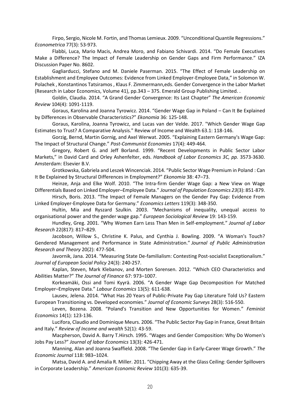Firpo, Sergio, Nicole M. Fortin, and Thomas Lemieux. 2009. "Unconditional Quantile Regressions." *Econometrica* 77(3): 53-973.

Flabbi, Luca, Mario Macis, Andrea Moro, and Fabiano Schivardi. 2014. "Do Female Executives Make a Difference? The Impact of Female Leadership on Gender Gaps and Firm Performance." IZA Discussion Paper No. 8602.

Gagliarducci, Stefano and M. Daniele Paserman. 2015. "The Effect of Female Leadership on Establishment and Employee Outcomes: Evidence from Linked Employer-Employee Data," in Solomon W. Polachek , Konstantinos Tatsiramos , Klaus F. Zimmermann,eds. Gender Convergence in the Labor Market (Research in Labor Economics, Volume 41), pp.343 – 375. Emerald Group Publishing Limited. .

Goldin, Claudia. 2014. "A Grand Gender Convergence: Its Last Chapter" *The American Economic Review* 104(4): 1091-1119.

Goraus, Karolina and Joanna Tyrowicz. 2014. "Gender Wage Gap in Poland – Can It Be Explained by Differences in Observable Characteristics?" *Ekonomia* 36: 125-148.

Goraus, Karolina, Joanna Tyrowicz, and Lucas van der Velde. 2017. "Which Gender Wage Gap Estimates to Trust? A Comparative Analysis." Review of Income and Wealth 63.1: 118-146.

Gorzig, Bernd, Martin Gornig, and Axel Werwat. 2005. "Explaining Eastern Germany's Wage Gap: The Impact of Structural Change." *Post-Communist Economies* 17(4): 449-464.

Gregory, Robert G. and Jeff Borland. 1999. "Recent Developments in Public Sector Labor Markets," in David Card and Orley Ashenfelter, eds. *Handbook of Labor Economics 3C, pp.* 3573-3630. Amsterdam: Elsevier B.V.

Grotkowska, Gabriela and Leszek Wincenciak. 2014. "Public Sector Wage Premium in Poland : Can It Be Explained by Structural Differences in Employment?" *Ekonomia* 38: 47–73.

Heinze, Anja and Elke Wolf. 2010. "The Intra-firm Gender Wage Gap: a New View on Wage Differentials Based on Linked Employer–Employee Data." *Journal of Population Economics 23*(3): 851-879.

Hirsch, Boris. 2013. "The Impact of Female Managers on the Gender Pay Gap: Evidence From Linked Employer-Employee Data for Germany." *Economics Letters* 119(3): 348-350.

Hultin, Mia and Ryszard Szulkin. 2003. "Mechanisms of inequality, unequal access to organisational power and the gender wage gap." *European Sociological Review* 19: 143-159.

Hundley, Greg. 2001. "Why Women Earn Less Than Men in Self-employment." *Journal of Labor Research* 22(817): 817–829.

Jacobson, Willow S., Christine K. Palus, and Cynthia J. Bowling. 2009. "A Woman's Touch? Gendered Management and Performance in State Administration." *Journal of Public Administration Research and Theory* 20(2): 477-504.

Javornik, Jana. 2014. "Measuring State De-familialism: Contesting Post-socialist Exceptionalism." *Journal of European Social Policy* 24(3): 240-257.

Kaplan, Steven, Mark Klebanov, and Morten Sorensen. 2012. "Which CEO Characteristics and Abilities Matter?" *The Journal of Finance* 67: 973–1007.

Korkeamäki, Ossi and Tomi Kyyrä. 2006. "A Gender Wage Gap Decomposition For Matched Employer–Employee Data." *Labour Economics* 13(5): 611-638.

Lausev, Jelena. 2014. "What Has 20 Years of Public-Private Pay Gap Literature Told Us? Eastern European Transitioning vs. Developed economies." *Journal of Economic Surveys* 28(3): 516-550.

Leven, Bozena. 2008. "Poland's Transition and New Opportunities for Women." *Feminist Economics* 14(1): 123-136.

Lucifora, Claudio and Dominique Meurs. 2006. "The Public Sector Pay Gap in France, Great Britain and Italy." *Review of Income and wealth* 52(1): 43-59.

Macpherson, David A. Barry T.Hirsch. 1995. "Wages and Gender Composition: Why Do Women's Jobs Pay Less?" *Journal of labor Economics* 13(3): 426-471.

Manning, Alan and Joanna Swaffield. 2008. "The Gender Gap in Early‐Career Wage Growth." *The Economic Journal* 118: 983–1024.

Matsa, David A. and Amalia R. Miller. 2011. "Chipping Away at the Glass Ceiling: Gender Spillovers in Corporate Leadership." *American Economic Review* 101(3): 635-39.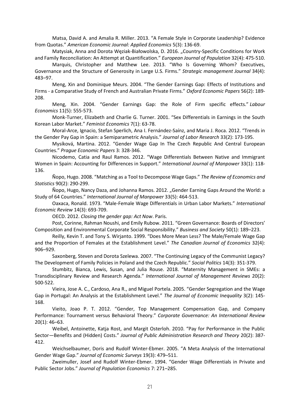Matsa, David A. and Amalia R. Miller. 2013. "A Female Style in Corporate Leadership? Evidence from Quotas." *American Economic Journal: Applied Economics* 5(3): 136-69.

Matysiak, Anna and Dorota Węziak-Białowolska, D. 2016. "Country-Specific Conditions for Work and Family Reconciliation: An Attempt at Quantification." *European Journal of Population* 32(4): 475-510.

Marquis, Christopher and Matthew Lee. 2013. "Who Is Governing Whom? Executives, Governance and the Structure of Generosity in Large U.S. Firms." *Strategic management Journal* 34(4): 483–97.

Meng, Xin and Dominique Meurs. 2004. "The Gender Earnings Gap: Effects of Institutions and Firms - a Comparative Study of French and Australian Private Firms." *Oxford Economic Papers* 56(2): 189- 208.

Meng, Xin. 2004. "Gender Earnings Gap: the Role of Firm specific effects." *Labour Economics* 11(5): 555-573.

Monk-Turner, Elizabeth and Charlie G. Turner. 2001. "Sex Differentials in Earnings in the South Korean Labor Market." *Feminist Economics* 7(1): 63-78.

Moral-Arce, Ignacio, Stefan Sperlich, Ana I. Fernández-Saínz, and Maria J. Roca. 2012. "Trends in the Gender Pay Gap in Spain: a Semiparametric Analysis." *Journal of Labor Research* 33(2): 173-195.

Mysíková, Martina. 2012. "Gender Wage Gap In The Czech Republic And Central European Countries." *Prague Economic Papers* 3: 328-346.

Nicodemo, Catia and Raul Ramos. 2012. "Wage Differentials Between Native and Immigrant Women in Spain: Accounting for Differences in Support." *International Journal of Manpower* 33(1): 118- 136.

Ñopo, Hugo. 2008. "Matching as a Tool to Decompose Wage Gaps." *The Review of Economics and Statistics* 90(2): 290-299.

Nopo, Hugo, Nancy Daza, and Johanna Ramos. 2012. "Gender Earning Gaps Around the World: a Study of 64 Countries." *International Journal of Manpower* 33(5): 464-513.

Oaxaca, Ronald. 1973. "Male-Female Wage Differentials in Urban Labor Markets." *International Economic Review* 14(3): 693-709.

OECD. 2012. *Closing the gender gap: Act Now*. Paris.

Post, Corinne, Rahman Noushi, and Emily Rubow. 2011. "Green Governance: Boards of Directors' Composition and Environmental Corporate Social Responsibility." *Business and Society* 50(1): 189–223.

Reilly, Kevin T. and Tony S. Wirjanto. 1999. "Does More Mean Less? The Male/Female Wage Gap and the Proportion of Females at the Establishment Level." *The Canadian Journal of Economics* 32(4): 906–929.

Saxonberg, Steven and Dorota Szelewa. 2007. "The Continuing Legacy of the Communist Legacy? The Development of Family Policies in Poland and the Czech Republic." *Social Politics* 14(3): 351-379.

Stumbitz, Bianca, Lewis, Susan, and Julia Rouse. 2018. "Maternity Management in SMEs: a Transdisciplinary Review and Research Agenda." *International Journal of Management Reviews* 20(2): 500-522.

Vieira, Jose A. C., Cardoso, Ana R., and Miguel Portela. 2005. "Gender Segregation and the Wage Gap in Portugal: An Analysis at the Establishment Level." *The Journal of Economic Inequality* 3(2): 145- 168.

Vieito, Joao P. T. 2012. "Gender, Top Management Compensation Gap, and Company Performance: Tournament versus Behavioral Theory." *Corporate Governance: An International Review* 20(1): 46–63.

Weibel, Antoinette, Katja Rost, and Margit Osterloh. 2010. "Pay for Performance in the Public Sector—Benefits and (Hidden) Costs." *Journal of Public Administration Research and Theory* 20(2): 387- 412.

Weichselbaumer, Doris and Rudolf Winter-Ebmer. 2005. "A Meta Analysis of the International Gender Wage Gap." *Journal of Economic Surveys* 19(3): 479–511.

Zweimuller, Josef and Rudolf Winter-Ebmer. 1994. "Gender Wage Differentials in Private and Public Sector Jobs." *Journal of Population Economics* 7: 271–285.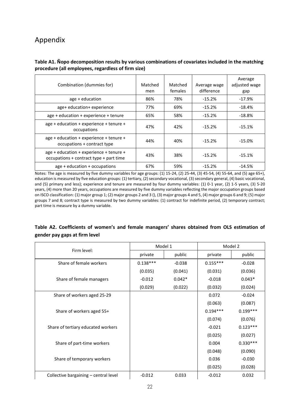# Appendix

#### **Table A1. Ñopo decomposition results by various combinations of covariates included in the matching procedure (all employees, regardless of firm size)**

| Combination (dummies for)                                                          | Matched<br>men | Matched<br>females | Average wage<br>difference | Average<br>adjusted wage<br>gap |
|------------------------------------------------------------------------------------|----------------|--------------------|----------------------------|---------------------------------|
| age + education                                                                    | 86%            | 78%                | $-15.2%$                   | $-17.9%$                        |
| age+ education+ experience                                                         | 77%            | 69%                | $-15.2%$                   | $-18.4%$                        |
| age + education + experience + tenure                                              | 65%            | 58%                | $-15.2%$                   | $-18.8\%$                       |
| age + education + experience + tenure +<br>occupations                             | 47%            | 42%                | $-15.2%$                   | $-15.1%$                        |
| age + education + experience + tenure +<br>occupations + contract type             | 44%            | 40%                | $-15.2%$                   | $-15.0%$                        |
| age + education + experience + tenure +<br>occupations + contract type + part time | 43%            | 38%                | $-15.2%$                   | $-15.1%$                        |
| $age + education + occupations$                                                    | 67%            | 59%                | $-15.2%$                   | $-14.5%$                        |

Notes: The age is measured by five dummy variables for age groups: (1) 15-24, (2) 25-44, (3) 45-54, (4) 55-64, and (5) age 65+), education is measured by five education groups: (1) tertiary, (2) secondary vocational, (3) secondary general, (4) basic vocational, and (5) primary and less); experience and tenure are measured by four dummy variables: (1) 0-1 year, (2) 1-5 years, (3) 5-20 years, (4) more than 20 years, occupations are measured by five dummy variables reflecting the major occupation groups based on ISCO classification: (1) major group 1; (2) major groups 2 and 3 (), (3) major groups 4 and 5, (4) major groups 6 and 9; (5) major groups 7 and 8; contract type is measured by two dummy variables: (1) contract for indefinite period, (2) temporary contract; part time is measure by a dummy variable.

### **Table A2. Coefficients of women's and female managers' shares obtained from OLS estimation of gender pay gaps at firm level**

| Firm level:                           | Model 1    |          | Model 2    |            |  |
|---------------------------------------|------------|----------|------------|------------|--|
|                                       | private    | public   | private    | public     |  |
| Share of female workers               | $0.138***$ | $-0.038$ | $0.155***$ | $-0.028$   |  |
|                                       | (0.035)    | (0.041)  | (0.031)    | (0.036)    |  |
| Share of female managers              | $-0.012$   | $0.042*$ | $-0.018$   | $0.043*$   |  |
|                                       | (0.029)    | (0.022)  | (0.032)    | (0.024)    |  |
| Share of workers aged 25-29           |            |          | 0.072      | $-0.024$   |  |
|                                       |            |          | (0.063)    | (0.087)    |  |
| Share of workers aged 55+             |            |          | $0.194***$ | $0.199***$ |  |
|                                       |            |          | (0.074)    | (0.076)    |  |
| Share of tertiary educated workers    |            |          | $-0.021$   | $0.123***$ |  |
|                                       |            |          | (0.025)    | (0.027)    |  |
| Share of part-time workers            |            |          | 0.004      | $0.330***$ |  |
|                                       |            |          | (0.048)    | (0.090)    |  |
| Share of temporary workers            |            |          | 0.036      | $-0.030$   |  |
|                                       |            |          | (0.025)    | (0.028)    |  |
| Collective bargaining - central level | $-0.012$   | 0.033    | $-0.012$   | 0.032      |  |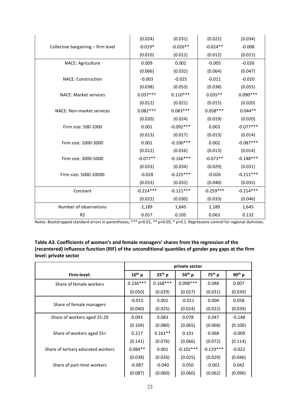|                                    | (0.024)     | (0.031)     | (0.022)     | (0.034)     |
|------------------------------------|-------------|-------------|-------------|-------------|
| Collective bargaining - firm level | $-0.019*$   | $-0.026**$  | $-0.024**$  | $-0.008$    |
|                                    | (0.010)     | (0.012)     | (0.012)     | (0.015)     |
| NACE: Agriculture                  | 0.009       | 0.002       | $-0.005$    | $-0.026$    |
|                                    | (0.066)     | (0.032)     | (0.064)     | (0.047)     |
| <b>NACE: Construction</b>          | $-0.003$    | $-0.025$    | $-0.011$    | $-0.020$    |
|                                    | (0.038)     | (0.053)     | (0.038)     | (0.055)     |
| <b>NACE: Market services</b>       | $0.037***$  | $0.110***$  | $0.035**$   | $0.090***$  |
|                                    | (0.012)     | (0.021)     | (0.015)     | (0.020)     |
| NACE: Non-market services          | $0.082***$  | $0.083***$  | $0.058***$  | $0.044**$   |
|                                    | (0.020)     | (0.024)     | (0.019)     | (0.020)     |
| Firm size: 500-1000                | 0.001       | $-0.092***$ | 0.003       | $-0.077***$ |
|                                    | (0.013)     | (0.017)     | (0.013)     | (0.014)     |
| Firm size: 1000-3000               | 0.001       | $-0.100***$ | 0.002       | $-0.087***$ |
|                                    | (0.012)     | (0.016)     | (0.013)     | (0.014)     |
| Firm size: 3000-5000               | $-0.077**$  | $-0.166***$ | $-0.073**$  | $-0.148***$ |
|                                    | (0.033)     | (0.034)     | (0.029)     | (0.031)     |
| Firm size: 5000-10000              | $-0.028$    | $-0.225***$ | $-0.026$    | $-0.211***$ |
|                                    | (0.033)     | (0.032)     | (0.040)     | (0.035)     |
| Constant                           | $-0.224***$ | $-0.121***$ | $-0.259***$ | $-0.214***$ |
|                                    | (0.022)     | (0.030)     | (0.033)     | (0.046)     |
| Number of observations             | 2,189       | 1,645       | 2,189       | 1,645       |
| R <sub>2</sub>                     | 0.057       | 0.105       | 0.063       | 0.132       |

Notes: Bootstrapped standard errors in parentheses; \*\*\* p<0.01, \*\* p<0.05, \* p<0.1. Regressions control for regional dummies.

#### **Table A3. Coefficients of women's and female managers' shares from the regression of the (recentered) influence function (RIF) of the unconditional quantiles of gender pay gaps at the firm level: private sector**

|                                    | private sector |            |             |             |          |
|------------------------------------|----------------|------------|-------------|-------------|----------|
| Firm-level:                        | $10^{th}$ p    | $25th$ p   | $50th$ p    | $75th$ p    | $90th$ p |
| Share of female workers            | $0.236***$     | $0.168***$ | $0.098***$  | 0.048       | 0.007    |
|                                    | (0.050)        | (0.029)    | (0.027)     | (0.031)     | (0.039)  |
|                                    | $-0.015$       | 0.001      | $-0.011$    | 0.004       | 0.058    |
| Share of female managers           | (0.040)        | (0.025)    | (0.024)     | (0.022)     | (0.039)  |
| Share of workers aged 25-29        | 0.093          | 0.083      | 0.078       | 0.047       | $-0.148$ |
|                                    | (0.104)        | (0.080)    | (0.065)     | (0.068)     | (0.100)  |
| Share of workers aged 55+          | 0.217          | $0.161**$  | 0.101       | 0.068       | $-0.009$ |
|                                    | (0.141)        | (0.076)    | (0.066)     | (0.072)     | (0.114)  |
| Share of tertiary educated workers | $0.084**$      | 0.001      | $-0.102***$ | $-0.129***$ | $-0.022$ |
|                                    | (0.038)        | (0.026)    | (0.025)     | (0.029)     | (0.046)  |
| Share of part-time workers         | $-0.087$       | $-0.040$   | 0.050       | $-0.001$    | 0.042    |
|                                    | (0.087)        | (0.060)    | (0.060)     | (0.062)     | (0.096)  |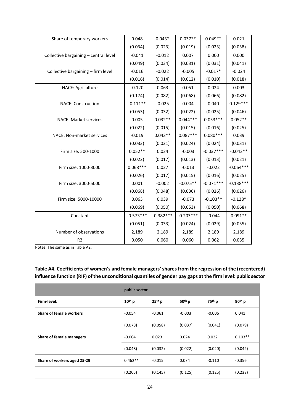| Share of temporary workers            | 0.048       | $0.043*$    | $0.037**$   | $0.049**$   | 0.021       |
|---------------------------------------|-------------|-------------|-------------|-------------|-------------|
|                                       | (0.034)     | (0.023)     | (0.019)     | (0.023)     | (0.038)     |
| Collective bargaining - central level | $-0.041$    | $-0.012$    | 0.007       | 0.000       | 0.000       |
|                                       | (0.049)     | (0.034)     | (0.031)     | (0.031)     | (0.041)     |
| Collective bargaining - firm level    | $-0.016$    | $-0.022$    | $-0.005$    | $-0.017*$   | $-0.024$    |
|                                       | (0.016)     | (0.014)     | (0.012)     | (0.010)     | (0.018)     |
| NACE: Agriculture                     | $-0.120$    | 0.063       | 0.051       | 0.024       | 0.003       |
|                                       | (0.174)     | (0.082)     | (0.068)     | (0.066)     | (0.082)     |
| <b>NACE: Construction</b>             | $-0.111**$  | $-0.025$    | 0.004       | 0.040       | $0.129***$  |
|                                       | (0.053)     | (0.032)     | (0.022)     | (0.025)     | (0.046)     |
| <b>NACE: Market services</b>          | 0.005       | $0.032**$   | $0.044***$  | $0.053***$  | $0.052**$   |
|                                       | (0.022)     | (0.015)     | (0.015)     | (0.016)     | (0.025)     |
| NACE: Non-market services             | $-0.019$    | $0.043**$   | $0.087***$  | $0.080***$  | 0.039       |
|                                       | (0.033)     | (0.021)     | (0.024)     | (0.024)     | (0.031)     |
| Firm size: 500-1000                   | $0.052**$   | 0.024       | $-0.003$    | $-0.037***$ | $-0.043**$  |
|                                       | (0.022)     | (0.017)     | (0.013)     | (0.013)     | (0.021)     |
| Firm size: 1000-3000                  | $0.068***$  | 0.027       | $-0.013$    | $-0.022$    | $-0.064***$ |
|                                       | (0.026)     | (0.017)     | (0.015)     | (0.016)     | (0.025)     |
| Firm size: 3000-5000                  | 0.001       | $-0.002$    | $-0.075**$  | $-0.071***$ | $-0.138***$ |
|                                       | (0.068)     | (0.048)     | (0.036)     | (0.026)     | (0.026)     |
| Firm size: 5000-10000                 | 0.063       | 0.039       | $-0.073$    | $-0.103**$  | $-0.128*$   |
|                                       | (0.069)     | (0.050)     | (0.053)     | (0.050)     | (0.068)     |
| Constant                              | $-0.573***$ | $-0.382***$ | $-0.203***$ | $-0.044$    | $0.091**$   |
|                                       | (0.051)     | (0.033)     | (0.024)     | (0.029)     | (0.035)     |
| Number of observations                | 2,189       | 2,189       | 2,189       | 2,189       | 2,189       |
| R <sub>2</sub>                        | 0.050       | 0.060       | 0.060       | 0.062       | 0.035       |

Notes: The same as in Table A2.

### **Table A4. Coefficients of women's and female managers'shares from the regression of the (recentered) influence function (RIF) of the unconditional quantiles of gender pay gaps at the firm level: public sector**

|                             | public sector |          |          |                    |           |  |
|-----------------------------|---------------|----------|----------|--------------------|-----------|--|
| Firm-level:                 | $10th$ p      | $25th$ p | $50th$ p | 75 <sup>th</sup> p | $90th$ p  |  |
| Share of female workers     | $-0.054$      | $-0.061$ | $-0.003$ | $-0.006$           | 0.041     |  |
|                             | (0.078)       | (0.058)  | (0.037)  | (0.041)            | (0.079)   |  |
| Share of female managers    | $-0.004$      | 0.023    | 0.024    | 0.022              | $0.103**$ |  |
|                             | (0.048)       | (0.032)  | (0.022)  | (0.020)            | (0.042)   |  |
| Share of workers aged 25-29 | $0.462**$     | $-0.015$ | 0.074    | $-0.110$           | $-0.356$  |  |
|                             | (0.205)       | (0.145)  | (0.125)  | (0.125)            | (0.238)   |  |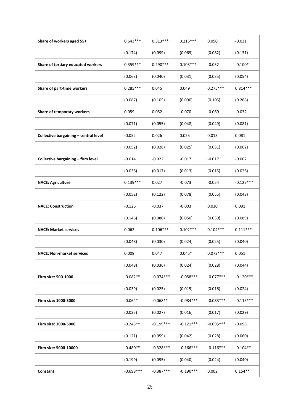| Share of workers aged 55+             | $0.643***$  | $0.313***$  | $0.215***$  | 0.050       | $-0.031$    |
|---------------------------------------|-------------|-------------|-------------|-------------|-------------|
|                                       | (0.174)     | (0.099)     | (0.069)     | (0.082)     | (0.131)     |
| Share of tertiary educated workers    | $0.359***$  | $0.290***$  | $0.103***$  | $-0.032$    | $-0.100*$   |
|                                       | (0.063)     | (0.040)     | (0.031)     | (0.035)     | (0.054)     |
| Share of part-time workers            | $0.285***$  | 0.045       | 0.049       | $0.275***$  | $0.814***$  |
|                                       | (0.087)     | (0.105)     | (0.090)     | (0.105)     | (0.268)     |
| Share of temporary workers            | 0.059       | 0.052       | $-0.070$    | $-0.069$    | $-0.032$    |
|                                       | (0.071)     | (0.055)     | (0.048)     | (0.049)     | (0.081)     |
| Collective bargaining - central level | $-0.052$    | 0.026       | 0.025       | 0.013       | 0.081       |
|                                       | (0.052)     | (0.028)     | (0.025)     | (0.031)     | (0.062)     |
| Collective bargaining - firm level    | $-0.014$    | $-0.022$    | $-0.017$    | $-0.017$    | $-0.002$    |
|                                       | (0.036)     | (0.017)     | (0.013)     | (0.015)     | (0.026)     |
| <b>NACE: Agriculture</b>              | $0.139***$  | 0.027       | $-0.073$    | $-0.054$    | $-0.127***$ |
|                                       | (0.052)     | (0.122)     | (0.078)     | (0.055)     | (0.048)     |
| <b>NACE: Construction</b>             | $-0.126$    | $-0.037$    | $-0.003$    | 0.030       | 0.091       |
|                                       | (0.146)     | (0.080)     | (0.050)     | (0.039)     | (0.089)     |
| <b>NACE: Market services</b>          | 0.062       | $0.106***$  | $0.102***$  | $0.104***$  | $0.111***$  |
|                                       | (0.048)     | (0.030)     | (0.024)     | (0.025)     | (0.040)     |
| <b>NACE: Non-market services</b>      | 0.009       | 0.047       | $0.045*$    | $0.073***$  | 0.051       |
|                                       | (0.048)     | (0.036)     | (0.024)     | (0.028)     | (0.044)     |
| Firm size: 500-1000                   | $-0.082**$  | $-0.074***$ | $-0.058***$ | $-0.077***$ | $-0.120***$ |
|                                       | (0.039)     | (0.025)     | (0.015)     | (0.016)     | (0.024)     |
| Firm size: 1000-3000                  | $-0.064*$   | $-0.068**$  | $-0.084***$ | $-0.083***$ | $-0.115***$ |
|                                       | (0.035)     | (0.027)     | (0.016)     | (0.017)     | (0.029)     |
| Firm size: 3000-5000                  | $-0.245**$  | $-0.199***$ | $-0.121***$ | $-0.095***$ | $-0.098$    |
|                                       | (0.121)     | (0.059)     | (0.042)     | (0.028)     | (0.060)     |
| Firm size: 5000-10000                 | $-0.480**$  | $-0.328***$ | $-0.166***$ | $-0.116***$ | $-0.104**$  |
|                                       | (0.199)     | (0.095)     | (0.040)     | (0.024)     | (0.040)     |
| Constant                              | $-0.698***$ | $-0.387***$ | $-0.190***$ | 0.002       | $0.154**$   |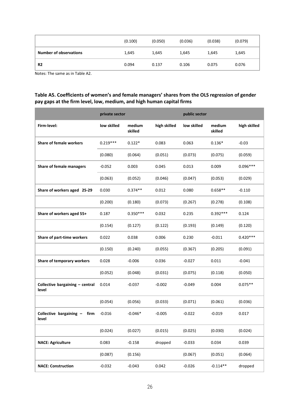|                               | (0.100) | (0.050) | (0.036) | (0.038) | (0.079) |
|-------------------------------|---------|---------|---------|---------|---------|
| <b>Number of observations</b> | 1,645   | 1,645   | 1,645   | 1,645   | 1,645   |
| <b>R2</b>                     | 0.094   | 0.137   | 0.106   | 0.075   | 0.076   |

Notes: The same as in Table A2.

#### **Table A5. Coefficients of women's and female managers' shares from the OLS regression of gender pay gaps at the firm level, low, medium, and high human capital firms**

|                                          | private sector |                   |              | public sector |                   |              |
|------------------------------------------|----------------|-------------------|--------------|---------------|-------------------|--------------|
| Firm-level:                              | low skilled    | medium<br>skilled | high skilled | low skilled   | medium<br>skilled | high skilled |
| <b>Share of female workers</b>           | $0.219***$     | $0.122*$          | 0.083        | 0.063         | $0.136*$          | $-0.03$      |
|                                          | (0.080)        | (0.064)           | (0.051)      | (0.073)       | (0.075)           | (0.059)      |
| <b>Share of female managers</b>          | $-0.052$       | 0.003             | 0.045        | 0.013         | 0.009             | $0.096***$   |
|                                          | (0.063)        | (0.052)           | (0.046)      | (0.047)       | (0.053)           | (0.029)      |
| Share of workers aged 25-29              | 0.030          | $0.374**$         | 0.012        | 0.080         | $0.658**$         | $-0.110$     |
|                                          | (0.200)        | (0.180)           | (0.073)      | (0.267)       | (0.278)           | (0.108)      |
| Share of workers aged 55+                | 0.187          | $0.350***$        | 0.032        | 0.235         | $0.392***$        | 0.124        |
|                                          | (0.154)        | (0.127)           | (0.122)      | (0.193)       | (0.149)           | (0.120)      |
| Share of part-time workers               | 0.022          | 0.038             | 0.006        | 0.230         | $-0.011$          | $0.420***$   |
|                                          | (0.150)        | (0.240)           | (0.055)      | (0.367)       | (0.205)           | (0.091)      |
| Share of temporary workers               | 0.028          | $-0.006$          | 0.036        | $-0.027$      | 0.011             | $-0.041$     |
|                                          | (0.052)        | (0.048)           | (0.031)      | (0.075)       | (0.118)           | (0.050)      |
| Collective bargaining - central<br>level | 0.014          | $-0.037$          | $-0.002$     | $-0.049$      | 0.004             | $0.075**$    |
|                                          | (0.054)        | (0.056)           | (0.033)      | (0.071)       | (0.061)           | (0.036)      |
| Collective bargaining -<br>firm<br>level | $-0.016$       | $-0.046*$         | $-0.005$     | $-0.022$      | $-0.019$          | 0.017        |
|                                          | (0.024)        | (0.027)           | (0.015)      | (0.025)       | (0.030)           | (0.024)      |
| <b>NACE: Agriculture</b>                 | 0.083          | $-0.158$          | dropped      | $-0.033$      | 0.034             | 0.039        |
|                                          | (0.087)        | (0.156)           |              | (0.067)       | (0.051)           | (0.064)      |
| <b>NACE: Construction</b>                | $-0.032$       | $-0.043$          | 0.042        | $-0.026$      | $-0.114**$        | dropped      |